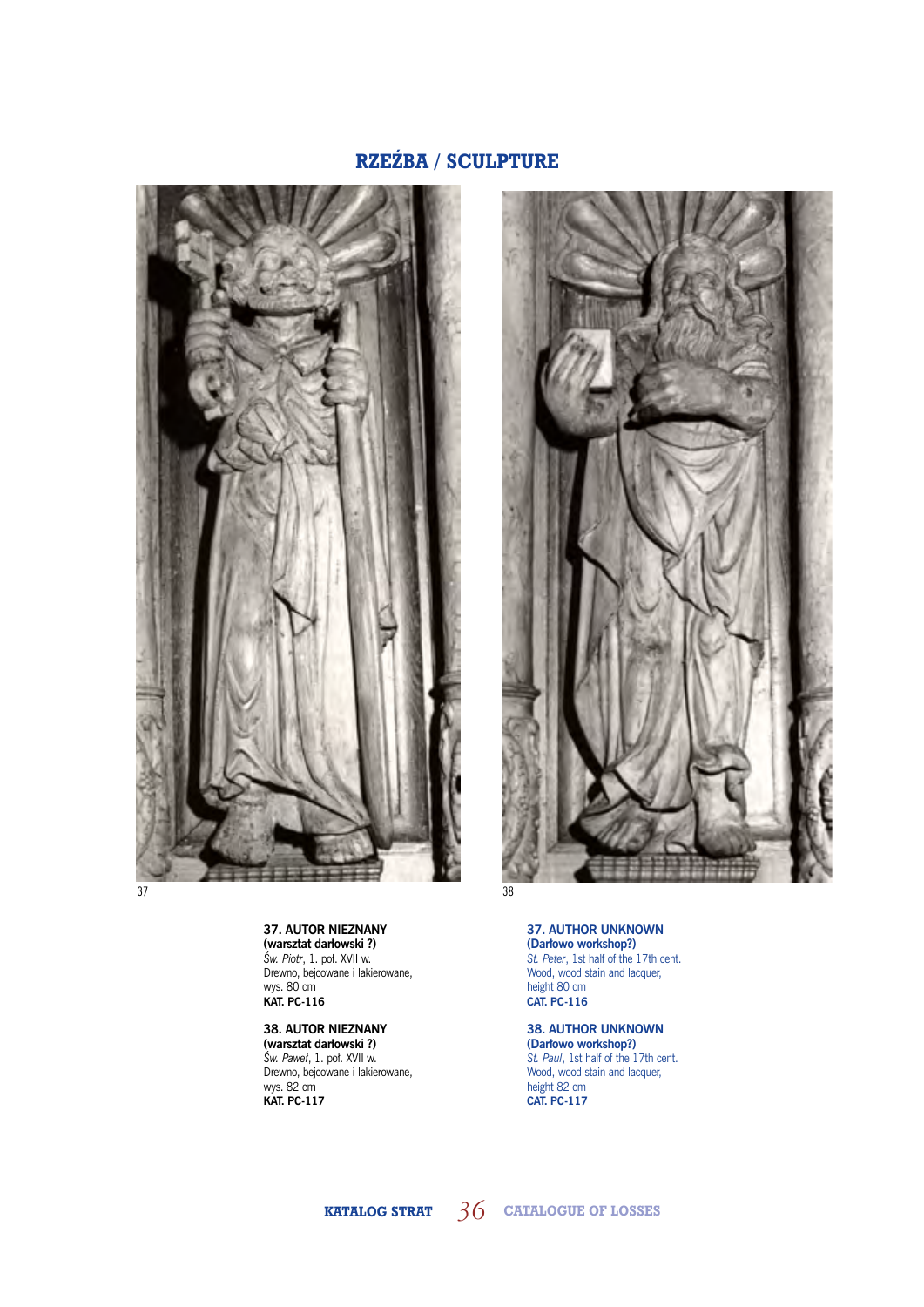



**37. AUTOR NIEZNANY (warsztat darłowski ?)** *Św. Piotr*, 1. poł. XVII w. Drewno, bejcowane i lakierowane, wys. 80 cm **KAT. PC-116**

**38. AUTOR NIEZNANY (warsztat darłowski ?)** *Św. Paweł*, 1. poł. XVII w. Drewno, bejcowane i lakierowane, wys. 82 cm **KAT. PC-117**

**37. AUTHOR UNKNOWN (Darłowo workshop?)** *St. Peter*, 1st half of the 17th cent. Wood, wood stain and lacquer, height 80 cm **CAT. PC-116**

**38. AUTHOR UNKNOWN (Darłowo workshop?)** *St. Paul*, 1st half of the 17th cent. Wood, wood stain and lacquer, height 82 cm **CAT. PC-117**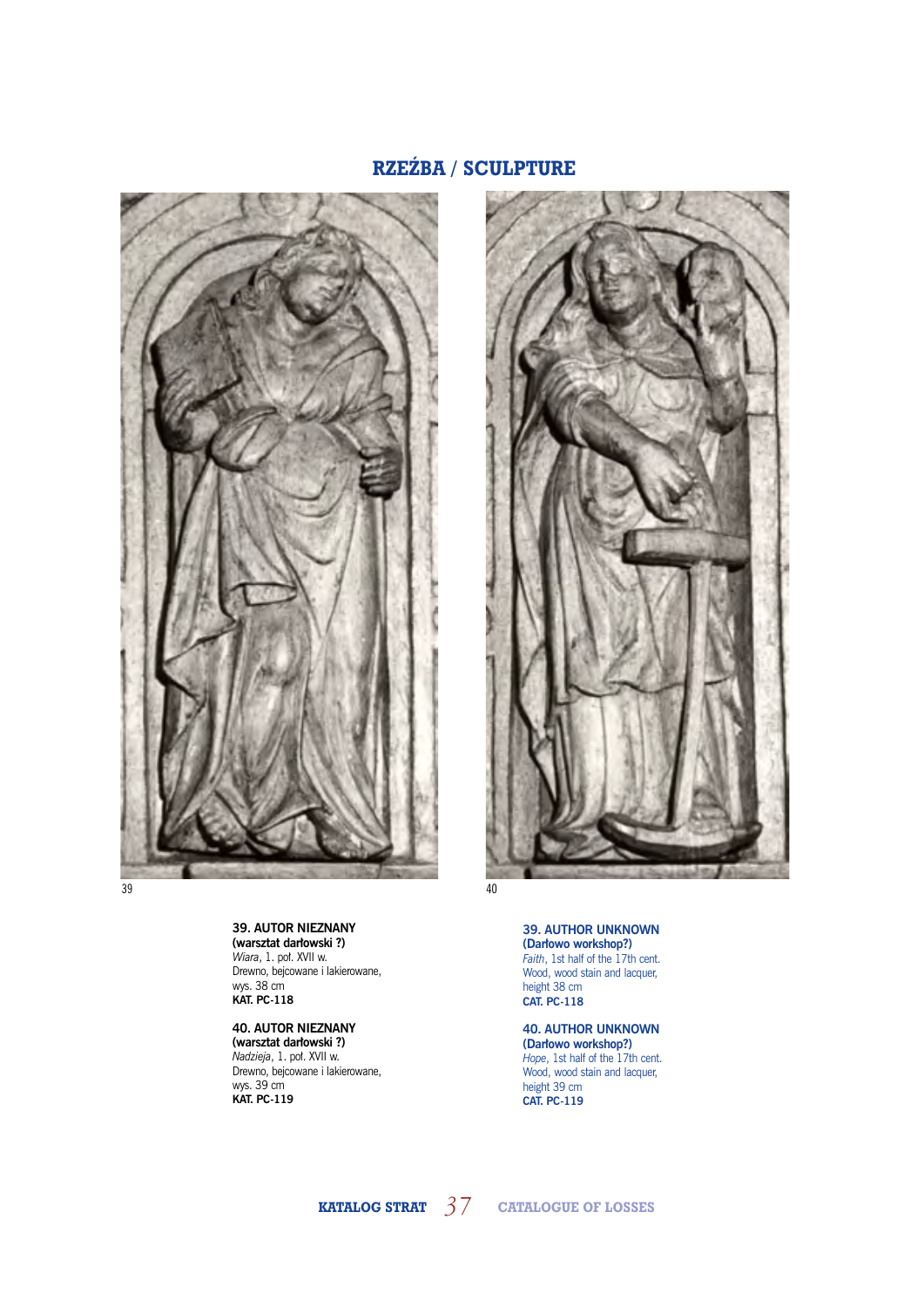



**39. AUTOR NIEZNANY (warsztat darłowski ?)** *Wiara*, 1. poł. XVII w. Drewno, bejcowane i lakierowane, wys. 38 cm **KAT. PC-118**

**40. AUTOR NIEZNANY (warsztat darłowski ?)** *Nadzieja*, 1. poł. XVII w. Drewno, bejcowane i lakierowane, wys. 39 cm **KAT. PC-119**

**39. AUTHOR UNKNOWN** 

**(Darłowo workshop?)** *Faith*, 1st half of the 17th cent. Wood, wood stain and lacquer, height 38 cm **CAT. PC-118**

**40. AUTHOR UNKNOWN (Darłowo workshop?)** *Hope*, 1st half of the 17th cent. Wood, wood stain and lacquer, height 39 cm **CAT. PC-119**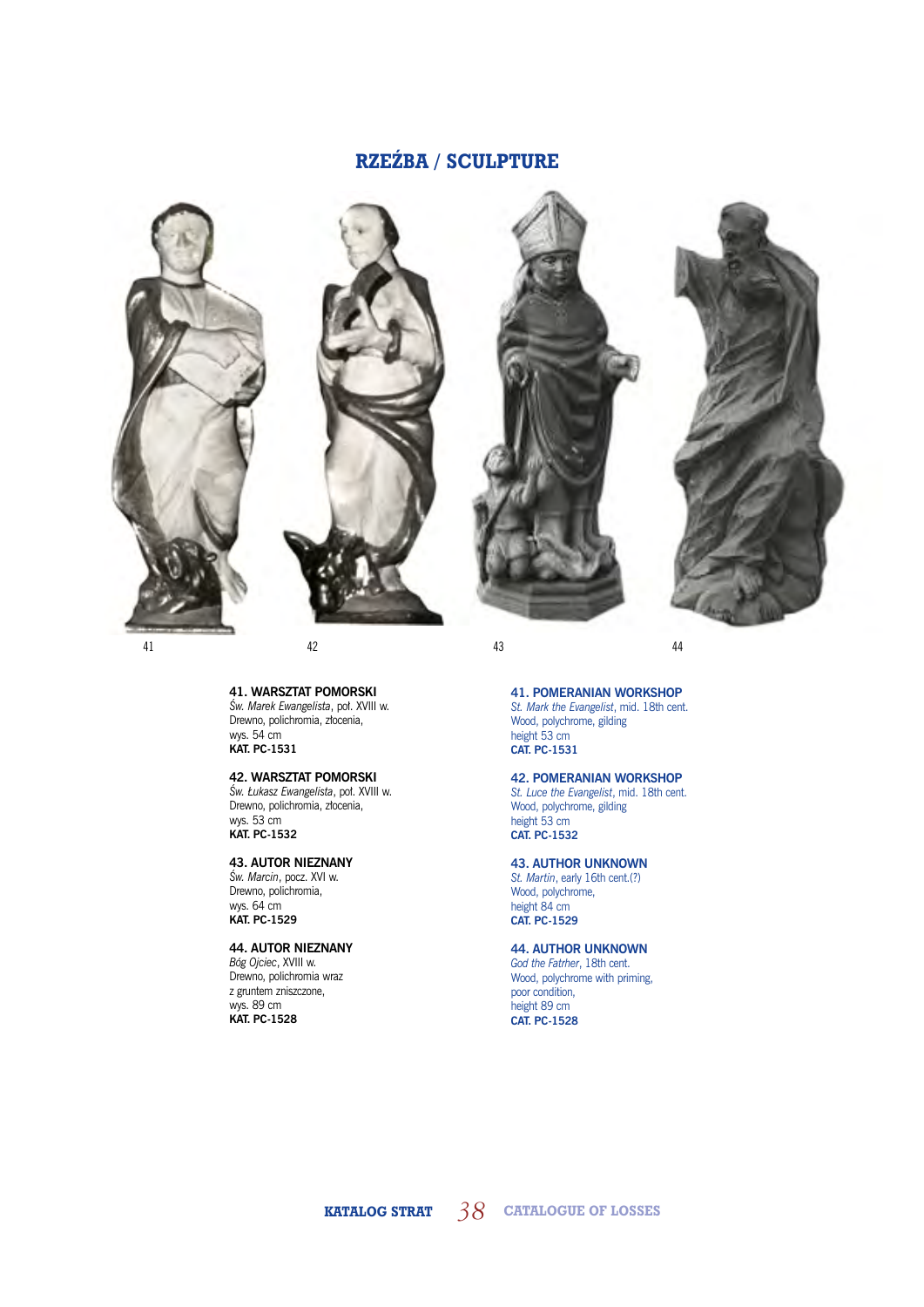







41 42 43 44

**41. WARSZTAT POMORSKI** *Św. Marek Ewangelista*, poł. XVIII w. Drewno, polichromia, złocenia, wys. 54 cm **KAT. PC-1531**

### **42. WARSZTAT POMORSKI**

*Św. Łukasz Ewangelista*, poł. XVIII w. Drewno, polichromia, złocenia, wys. 53 cm **KAT. PC-1532**

### **43. AUTOR NIEZNANY**

*Św. Marcin*, pocz. XVI w. Drewno, polichromia, wys. 64 cm **KAT. PC-1529**

## **44. AUTOR NIEZNANY**

*Bóg Ojciec*, XVIII w. Drewno, polichromia wraz z gruntem zniszczone, wys. 89 cm **KAT. PC-1528**

### **41. POMERANIAN WORKSHOP**

*St. Mark the Evangelist*, mid. 18th cent. Wood, polychrome, gilding height 53 cm **CAT. PC-1531**

#### **42. POMERANIAN WORKSHOP** *St. Luce the Evangelist*, mid. 18th cent.

Wood, polychrome, gilding height 53 cm **CAT. PC-1532**

### **43. AUTHOR UNKNOWN**

*St. Martin*, early 16th cent.(?) Wood, polychrome, height 84 cm **CAT. PC-1529**

## **44. AUTHOR UNKNOWN**

*God the Fatrher*, 18th cent. Wood, polychrome with priming, poor condition, height 89 cm **CAT. PC-1528**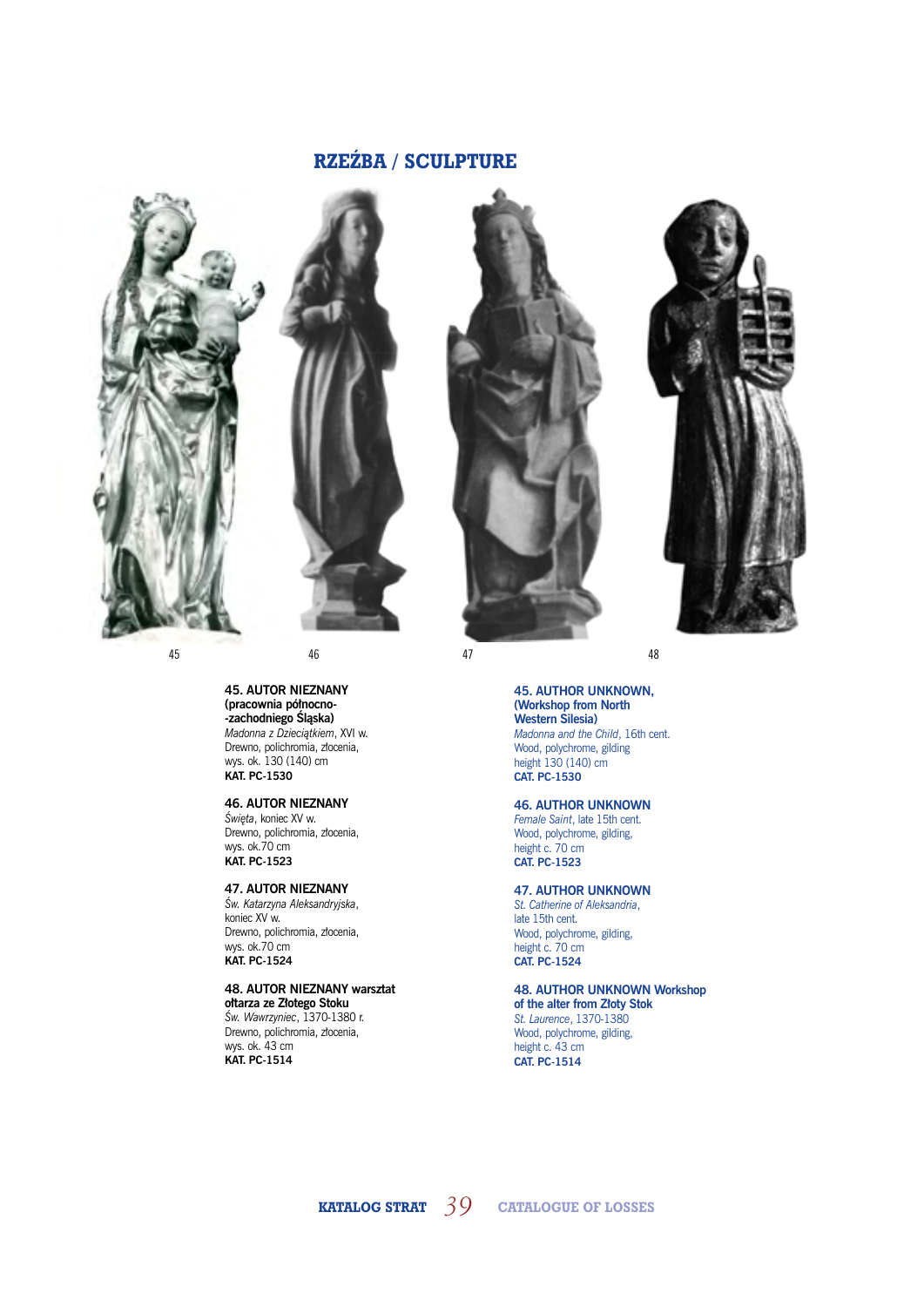





**45. AUTOR NIEZNANY (pracownia północno- -zachodniego Śląska)** *Madonna z Dzieciątkiem*, XVI w. Drewno, polichromia, złocenia, wys. ok. 130 (140) cm **KAT. PC-1530** 

### **46. AUTOR NIEZNANY**

*Święta*, koniec XV w. Drewno, polichromia, złocenia, wys. ok.70 cm **KAT. PC-1523**

#### **47. AUTOR NIEZNANY**

*Św. Katarzyna Aleksandryjska*, koniec XV w. Drewno, polichromia, złocenia, wys. ok.70 cm **KAT. PC-1524**

### **48. AUTOR NIEZNANY warsztat**

**ołtarza ze Złotego Stoku** *Św. Wawrzyniec*, 1370-1380 r. Drewno, polichromia, złocenia, wys. ok. 43 cm **KAT. PC-1514**

## **45. AUTHOR UNKNOWN, (Workshop from North Western Silesia)**

*Madonna and the Child*, 16th cent. Wood, polychrome, gilding height 130 (140) cm **CAT. PC-1530**

### **46. AUTHOR UNKNOWN**

*Female Saint*, late 15th cent. Wood, polychrome, gilding, height c. 70 cm **CAT. PC-1523**

## **47. AUTHOR UNKNOWN**

*St. Catherine of Aleksandria*, late 15th cent. Wood, polychrome, gilding, height c. 70 cm **CAT. PC-1524**

#### **48. AUTHOR UNKNOWN Workshop of the alter from Złoty Stok**

*St. Laurence*, 1370-1380 Wood, polychrome, gilding, height c. 43 cm **CAT. PC-1514**